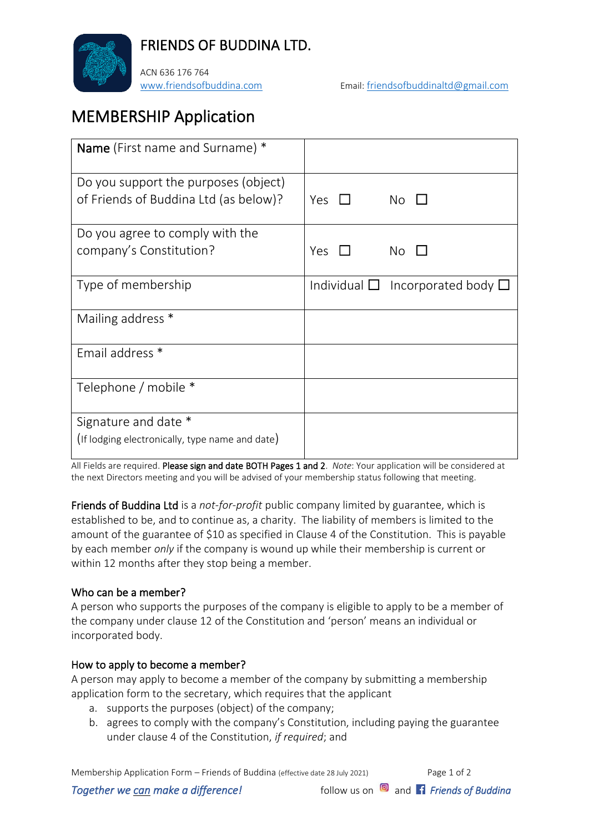

FRIENDS OF BUDDINA LTD.

ACN 636 176 764

[www.friendsofbuddina.com](http://www.friendsofbuddina.com/) Email: [friendsofbuddinaltd@gmail.com](mailto:friendsofbuddinaltd@gmail.com)

# MEMBERSHIP Application

| <b>Name</b> (First name and Surname) *          |            |                                                  |
|-------------------------------------------------|------------|--------------------------------------------------|
| Do you support the purposes (object)            |            |                                                  |
| of Friends of Buddina Ltd (as below)?           | Yes $\Box$ | $No$ $\Box$                                      |
| Do you agree to comply with the                 |            |                                                  |
| company's Constitution?                         | Yes $\Box$ | $No$ $\Box$                                      |
| Type of membership                              |            | Individual $\square$ Incorporated body $\square$ |
| Mailing address *                               |            |                                                  |
| Email address *                                 |            |                                                  |
| Telephone / mobile *                            |            |                                                  |
| Signature and date *                            |            |                                                  |
| (If lodging electronically, type name and date) |            |                                                  |

All Fields are required. Please sign and date BOTH Pages 1 and 2. *Note*: Your application will be considered at the next Directors meeting and you will be advised of your membership status following that meeting.

Friends of Buddina Ltd is a *not-for-profit* public company limited by guarantee, which is established to be, and to continue as, a charity. The liability of members is limited to the amount of the guarantee of \$10 as specified in Clause 4 of the Constitution. This is payable by each member *only* if the company is wound up while their membership is current or within 12 months after they stop being a member.

### Who can be a member?

A person who supports the purposes of the company is eligible to apply to be a member of the company under clause 12 of the Constitution and 'person' means an individual or incorporated body.

### How to apply to become a member?

A person may apply to become a member of the company by submitting a membership application form to the secretary, which requires that the applicant

- a. supports the purposes (object) of the company;
- b. agrees to comply with the company's Constitution, including paying the guarantee under clause 4 of the Constitution, *if required*; and

Membership Application Form – Friends of Buddina (effective date 28 July 2021) Page 1 of 2